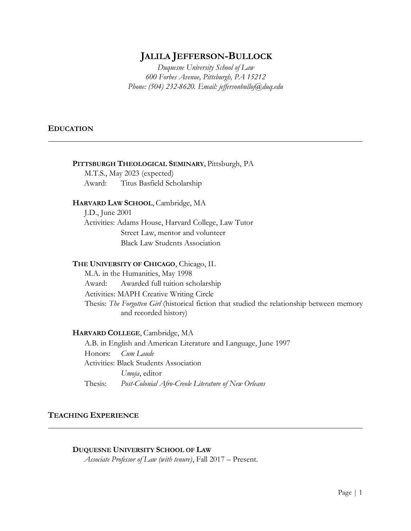# **JALILA JEFFERSON-BULLOCK**

*Duquesne University School of Law 600 Forbes Avenue, Pittsburgh, PA 15212 Phone: (504) 232-8620. Email: jeffersonbulloj@duq.edu*

# **EDUCATION**

# **PITTSBURGH THEOLOGICAL SEMINARY,** Pittsburgh, PA

M.T.S., May 2023 (expected) Award: Titus Basfield Scholarship

# **HARVARD LAW SCHOOL**, Cambridge, MA

J.D., June 2001 Activities: Adams House, Harvard College, Law Tutor Street Law, mentor and volunteer Black Law Students Association

#### **THE UNIVERSITY OF CHICAGO**, Chicago, IL

M.A. in the Humanities, May 1998 Award: Awarded full tuition scholarship Activities: MAPH Creative Writing Circle Thesis: *The Forgotten Girl* (historical fiction that studied the relationship between memory and recorded history)

### **HARVARD COLLEGE**, Cambridge, MA

A.B. in English and American Literature and Language, June 1997 Honors: *Cum Laude* Activities: Black Students Association *Umoja*, editor Thesis: *Post-Colonial Afro-Creole Literature of New Orleans*

# **TEACHING EXPERIENCE**

### **DUQUESNE UNIVERSITY SCHOOL OF LAW**

*Associate Professor of Law (with tenure)*, Fall 2017 – Present.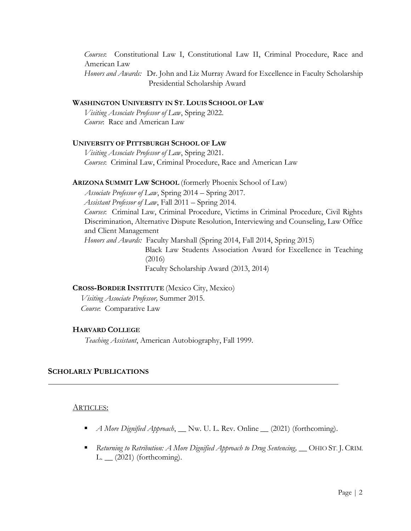*Courses*: Constitutional Law I, Constitutional Law II, Criminal Procedure, Race and American Law

*Honors and Awards:* Dr. John and Liz Murray Award for Excellence in Faculty Scholarship Presidential Scholarship Award

### **WASHINGTON UNIVERSITY IN ST. LOUIS SCHOOL OF LAW**

*Visiting Associate Professor of Law*, Spring 2022. *Course*: Race and American Law

### **UNIVERSITY OF PITTSBURGH SCHOOL OF LAW**

*Visiting Associate Professor of Law*, Spring 2021. *Courses*: Criminal Law, Criminal Procedure, Race and American Law

#### **ARIZONA SUMMIT LAW SCHOOL** (formerly Phoenix School of Law)

*Associate Professor of Law*, Spring 2014 – Spring 2017. *Assistant Professor of Law*, Fall 2011 – Spring 2014. *Courses*: Criminal Law, Criminal Procedure, Victims in Criminal Procedure, Civil Rights Discrimination, Alternative Dispute Resolution, Interviewing and Counseling, Law Office and Client Management *Honors and Awards:* Faculty Marshall (Spring 2014, Fall 2014, Spring 2015)

> Black Law Students Association Award for Excellence in Teaching (2016) Faculty Scholarship Award (2013, 2014)

# **CROSS-BORDER INSTITUTE** (Mexico City, Mexico)

 *Visiting Associate Professor,* Summer 2015.  *Course*: Comparative Law

#### **HARVARD COLLEGE**

*Teaching Assistant*, American Autobiography, Fall 1999.

#### **SCHOLARLY PUBLICATIONS**

#### ARTICLES:

- *A More Dignified Approach*, \_\_ Nw. U. L. Rev. Online \_\_ (2021) (forthcoming).
- *Returning to Retribution: A More Dignified Approach to Drug Sentencing,* △ OHIO ST. J. CRIM.  $L.$   $(2021)$  (forthcoming).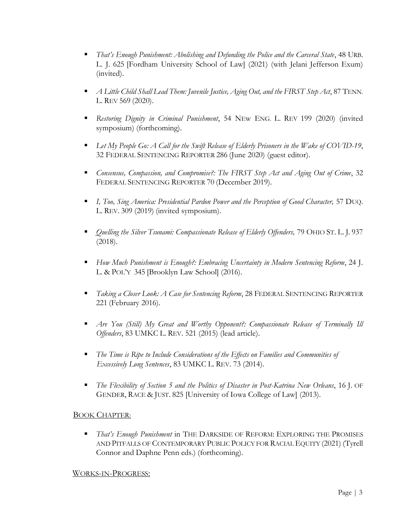- *That's Enough Punishment: Abolishing and Defunding the Police and the Carceral State*, 48 URB. L. J. 625 [Fordham University School of Law] (2021) (with Jelani Jefferson Exum) (invited).
- *A Little Child Shall Lead Them: Juvenile Justice, Aging Out, and the FIRST Step Act*, 87 TENN. L. REV 569 (2020).
- *Restoring Dignity in Criminal Punishment*, 54 NEw ENG. L. REV 199 (2020) (invited symposium) (forthcoming).
- *Let My People Go: A Call for the Swift Release of Elderly Prisoners in the Wake of COVID-19*, 32 FEDERAL SENTENCING REPORTER 286 (June 2020) (guest editor).
- *Consensus, Compassion, and Compromise?: The FIRST Step Act and Aging Out of Crime*, 32 FEDERAL SENTENCING REPORTER 70 (December 2019).
- *I, Too, Sing America: Presidential Pardon Power and the Perception of Good Character,* 57 DUQ. L. REV. 309 (2019) (invited symposium).
- *Quelling the Silver Tsunami: Compassionate Release of Elderly Offenders,* 79 OHIO ST. L. J. 937 (2018).
- *How Much Punishment is Enough?: Embracing Uncertainty in Modern Sentencing Reform*, 24 J. L. & POL'Y 345 [Brooklyn Law School] (2016).
- *Taking a Closer Look: A Case for Sentencing Reform*, 28 FEDERAL SENTENCING REPORTER 221 (February 2016).
- *Are You (Still) My Great and Worthy Opponent?: Compassionate Release of Terminally Ill Offenders*, 83 UMKC L. REV. 521 (2015) (lead article).
- The Time is Ripe to Include Considerations of the Effects on Families and Communities of *Excessively Long Sentences*, 83 UMKC L. REV. 73 (2014).
- *The Flexibility of Section 5 and the Politics of Disaster in Post-Katrina New Orleans*, 16 J. OF GENDER, RACE & JUST. 825 [University of Iowa College of Law] (2013).

# BOOK CHAPTER:

▪ *That's Enough Punishment* in THE DARKSIDE OF REFORM: EXPLORING THE PROMISES AND PITFALLS OF CONTEMPORARY PUBLIC POLICY FOR RACIAL EQUITY (2021) (Tyrell Connor and Daphne Penn eds.) (forthcoming).

# WORKS-IN-PROGRESS: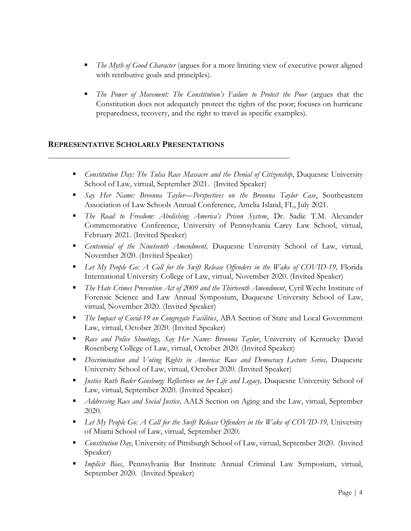- *The Myth of Good Character* (argues for a more limiting view of executive power aligned with retributive goals and principles).
- The Power of Movement: The Constitution's Failure to Protect the Poor (argues that the Constitution does not adequately protect the rights of the poor; focuses on hurricane preparedness, recovery, and the right to travel as specific examples).

# **REPRESENTATIVE SCHOLARLY PRESENTATIONS**

- **•** *Constitution Day: The Tulsa Race Massacre and the Denial of Citizenship*, Duquesne University School of Law, virtual, September 2021. (Invited Speaker)
- *Say Her Name: Breonna Taylor—Perspectives on the Breonna Taylor Case*, Southeastern Association of Law Schools Annual Conference, Amelia Island, FL, July 2021.
- *The Road to Freedom: Abolishing America's Prison System*, Dr. Sadie T.M. Alexander Commemorative Conference, University of Pennsylvania Carey Law School, virtual, February 2021. (Invited Speaker)
- **•** *Centennial of the Nineteenth Amendment, Duquesne University School of Law, virtual,* November 2020. (Invited Speaker)
- *Let My People Go: A Call for the Swift Release Offenders in the Wake of COVID-19*, Florida International University College of Law, virtual, November 2020. (Invited Speaker)
- *The Hate Crimes Prevention Act of 2009 and the Thirteenth Amendment*, Cyril Wecht Institute of Forensic Science and Law Annual Symposium, Duquesne University School of Law, virtual, November 2020. (Invited Speaker)
- *The Impact of Covid-19 on Congregate Facilities*, ABA Section of State and Local Government Law, virtual, October 2020. (Invited Speaker)
- *Race and Police Shootings, Say Her Name: Breonna Taylor*, University of Kentucky David Rosenberg College of Law, virtual, October 2020. (Invited Speaker)
- **•** *Discrimination and Voting Rights in America: Race and Democracy Lecture Series, Duquesne* University School of Law, virtual, October 2020. (Invited Speaker)
- *Justice Ruth Bader Ginsburg: Reflections on her Life and Legacy*, Duquesne University School of Law, virtual, September 2020. (Invited Speaker)
- *Addressing Race and Social Justice,* AALS Section on Aging and the Law, virtual, September 2020.
- **•** Let My People Go: A Call for the Swift Release Offenders in the Wake of COVID-19, University of Miami School of Law, virtual, September 2020.
- *Constitution Day*, University of Pittsburgh School of Law, virtual, September 2020. (Invited Speaker)
- *Implicit Bias*, Pennsylvania Bar Institute Annual Criminal Law Symposium, virtual, September 2020. (Invited Speaker)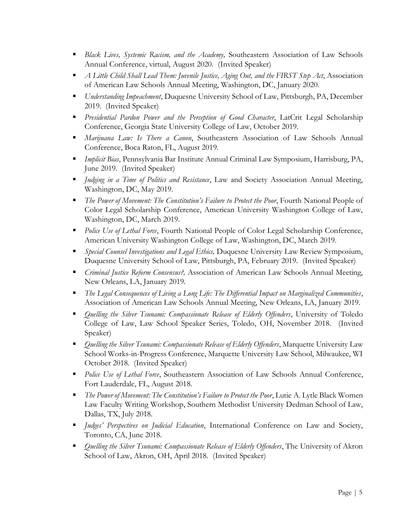- **E** *Black Lives, Systemic Racism, and the Academy, Southeastern Association of Law Schools* Annual Conference, virtual, August 2020. (Invited Speaker)
- *A Little Child Shall Lead Them: Juvenile Justice, Aging Out, and the FIRST Step Act*, Association of American Law Schools Annual Meeting, Washington, DC, January 2020.
- *Understanding Impeachment*, Duquesne University School of Law, Pittsburgh, PA, December 2019. (Invited Speaker)
- **•** *Presidential Pardon Power and the Perception of Good Character*, LatCrit Legal Scholarship Conference, Georgia State University College of Law, October 2019.
- *Marijuana Law: Is There a Canon*, Southeastern Association of Law Schools Annual Conference, Boca Raton, FL, August 2019.
- *Implicit Bias*, Pennsylvania Bar Institute Annual Criminal Law Symposium, Harrisburg, PA, June 2019. (Invited Speaker)
- *Judging in a Time of Politics and Resistance*, Law and Society Association Annual Meeting, Washington, DC, May 2019.
- *The Power of Movement: The Constitution's Failure to Protect the Poor*, Fourth National People of Color Legal Scholarship Conference, American University Washington College of Law, Washington, DC, March 2019.
- *Police Use of Lethal Force*, Fourth National People of Color Legal Scholarship Conference, American University Washington College of Law, Washington, DC, March 2019.
- *Special Counsel Investigations and Legal Ethics*, Duquesne University Law Review Symposium, Duquesne University School of Law, Pittsburgh, PA, February 2019. (Invited Speaker)
- *Criminal Justice Reform Consensus?,* Association of American Law Schools Annual Meeting, New Orleans, LA, January 2019.
- The Legal Consequences of Living a Long Life: The Differential Impact on Marginalized Communities, Association of American Law Schools Annual Meeting, New Orleans, LA, January 2019.
- *Quelling the Silver Tsunami: Compassionate Release of Elderly Offenders*, University of Toledo College of Law, Law School Speaker Series, Toledo, OH, November 2018. (Invited Speaker)
- *Quelling the Silver Tsunami: Compassionate Release of Elderly Offenders*, Marquette University Law School Works-in-Progress Conference, Marquette University Law School, Milwaukee, WI October 2018. (Invited Speaker)
- **•** *Police Use of Lethal Force*, Southeastern Association of Law Schools Annual Conference, Fort Lauderdale, FL, August 2018.
- *The Power of Movement: The Constitution's Failure to Protect the Poor*, Lutie A. Lytle Black Women Law Faculty Writing Workshop, Southern Methodist University Dedman School of Law, Dallas, TX, July 2018.
- *Judges' Perspectives on Judicial Education*, International Conference on Law and Society, Toronto, CA, June 2018.
- *Quelling the Silver Tsunami: Compassionate Release of Elderly Offenders*, The University of Akron School of Law, Akron, OH, April 2018. (Invited Speaker)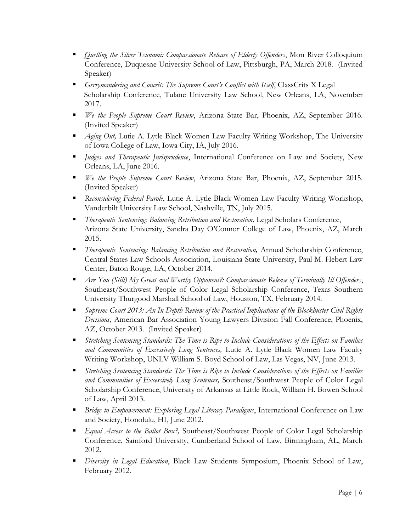- **•** *Quelling the Silver Tsunami: Compassionate Release of Elderly Offenders*, Mon River Colloquium Conference, Duquesne University School of Law, Pittsburgh, PA, March 2018. (Invited Speaker)
- *Gerrymandering and Conceit: The Supreme Court's Conflict with Itself*, ClassCrits X Legal Scholarship Conference, Tulane University Law School, New Orleans, LA, November 2017.
- *We the People Supreme Court Review*, Arizona State Bar, Phoenix, AZ, September 2016. (Invited Speaker)
- *Aging Out, Lutie A. Lytle Black Women Law Faculty Writing Workshop, The University* of Iowa College of Law, Iowa City, IA, July 2016.
- *Judges and Therapeutic Jurisprudence*, International Conference on Law and Society, New Orleans, LA, June 2016.
- *We the People Supreme Court Review*, Arizona State Bar, Phoenix, AZ, September 2015. (Invited Speaker)
- *Reconsidering Federal Parole*, Lutie A. Lytle Black Women Law Faculty Writing Workshop, Vanderbilt University Law School, Nashville, TN, July 2015.
- *Therapeutic Sentencing: Balancing Retribution and Restoration,* Legal Scholars Conference, Arizona State University, Sandra Day O'Connor College of Law, Phoenix, AZ, March 2015.
- *Therapeutic Sentencing: Balancing Retribution and Restoration,* Annual Scholarship Conference, Central States Law Schools Association, Louisiana State University, Paul M. Hebert Law Center, Baton Rouge, LA, October 2014.
- *Are You (Still) My Great and Worthy Opponent?: Compassionate Release of Terminally Ill Offenders*, Southeast/Southwest People of Color Legal Scholarship Conference, Texas Southern University Thurgood Marshall School of Law, Houston, TX, February 2014.
- *Supreme Court 2013: An In-Depth Review of the Practical Implications of the Blockbuster Civil Rights Decisions*, American Bar Association Young Lawyers Division Fall Conference, Phoenix, AZ, October 2013. (Invited Speaker)
- *Stretching Sentencing Standards: The Time is Ripe to Include Considerations of the Effects on Families and Communities of Excessively Long Sentences,* Lutie A. Lytle Black Women Law Faculty Writing Workshop, UNLV William S. Boyd School of Law, Las Vegas, NV, June 2013.
- *Stretching Sentencing Standards: The Time is Ripe to Include Considerations of the Effects on Families and Communities of Excessively Long Sentences,* Southeast/Southwest People of Color Legal Scholarship Conference, University of Arkansas at Little Rock, William H. Bowen School of Law, April 2013.
- **•** *Bridge to Empowerment: Exploring Legal Literacy Paradigms*, International Conference on Law and Society, Honolulu, HI, June 2012.
- *Equal Access to the Ballot Box?*, Southeast/Southwest People of Color Legal Scholarship Conference, Samford University, Cumberland School of Law, Birmingham, AL, March 2012.
- *Diversity in Legal Education*, Black Law Students Symposium, Phoenix School of Law, February 2012.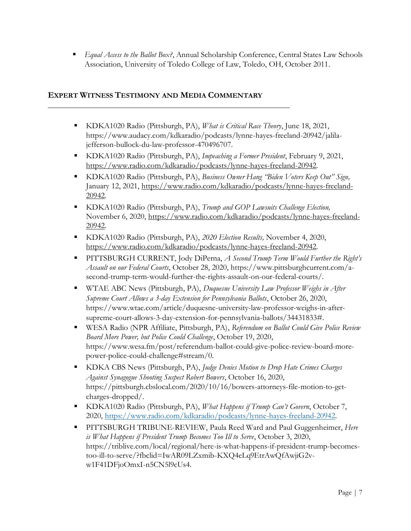■ *Equal Access to the Ballot Box?*, Annual Scholarship Conference, Central States Law Schools Association, University of Toledo College of Law, Toledo, OH, October 2011.

# **EXPERT WITNESS TESTIMONY AND MEDIA COMMENTARY**

- KDKA1020 Radio (Pittsburgh, PA), *What is Critical Race Theory*, June 18, 2021, https://www.audacy.com/kdkaradio/podcasts/lynne-hayes-freeland-20942/jalilajefferson-bullock-du-law-professor-470496707.
- KDKA1020 Radio (Pittsburgh, PA), *Impeaching a Former President*, February 9, 2021, [https://www.radio.com/kdkaradio/podcasts/lynne-hayes-freeland-20942.](https://www.radio.com/kdkaradio/podcasts/lynne-hayes-freeland-20942)
- KDKA1020 Radio (Pittsburgh, PA), *Business Owner Hang "Biden Voters Keep Out" Sign,* January 12, 2021, [https://www.radio.com/kdkaradio/podcasts/lynne-hayes-freeland-](https://www.radio.com/kdkaradio/podcasts/lynne-hayes-freeland-20942)[20942.](https://www.radio.com/kdkaradio/podcasts/lynne-hayes-freeland-20942)
- KDKA1020 Radio (Pittsburgh, PA), *Trump and GOP Lawsuits Challenge Election,* November 6, 2020, [https://www.radio.com/kdkaradio/podcasts/lynne-hayes-freeland-](https://www.radio.com/kdkaradio/podcasts/lynne-hayes-freeland-20942)[20942.](https://www.radio.com/kdkaradio/podcasts/lynne-hayes-freeland-20942)
- KDKA1020 Radio (Pittsburgh, PA), *2020 Election Results,* November 4, 2020, [https://www.radio.com/kdkaradio/podcasts/lynne-hayes-freeland-20942.](https://www.radio.com/kdkaradio/podcasts/lynne-hayes-freeland-20942)
- PITTSBURGH CURRENT, Jody DiPerna, *A Second Trump Term Would Further the Right's Assault on our Federal Courts*, October 28, 2020, https://www.pittsburghcurrent.com/asecond-trump-term-would-further-the-rights-assault-on-our-federal-courts/.
- WTAE ABC News (Pittsburgh, PA), *Duquesne University Law Professor Weighs in After Supreme Court Allows a 3-day Extension for Pennsylvania Ballots*, October 26, 2020, https://www.wtae.com/article/duquesne-university-law-professor-weighs-in-aftersupreme-court-allows-3-day-extension-for-pennsylvania-ballots/34431833#.
- WESA Radio (NPR Affiliate, Pittsburgh, PA), *Referendum on Ballot Could Give Police Review Board More Power, but Police Could Challenge*, October 19, 2020, https://www.wesa.fm/post/referendum-ballot-could-give-police-review-board-morepower-police-could-challenge#stream/0.
- KDKA CBS News (Pittsburgh, PA), *Judge Denies Motion to Drop Hate Crimes Charges Against Synagogue Shooting Suspect Robert Bowers*, October 16, 2020, https://pittsburgh.cbslocal.com/2020/10/16/bowers-attorneys-file-motion-to-getcharges-dropped/.
- KDKA1020 Radio (Pittsburgh, PA), *What Happens if Trump Can't Govern*, October 7, 2020, [https://www.radio.com/kdkaradio/podcasts/lynne-hayes-freeland-20942.](https://www.radio.com/kdkaradio/podcasts/lynne-hayes-freeland-20942)
- PITTSBURGH TRIBUNE-REVIEW, Paula Reed Ward and Paul Guggenheimer, *Here is What Happens if President Trump Becomes Too Ill to Serve*, October 3, 2020, https://triblive.com/local/regional/here-is-what-happens-if-president-trump-becomestoo-ill-to-serve/?fbclid=IwAR09LZxmib-KXQ4eLq9EtrAwQfAwjiG2vw1F41DFjoOmxI-n5CN5l9cUs4.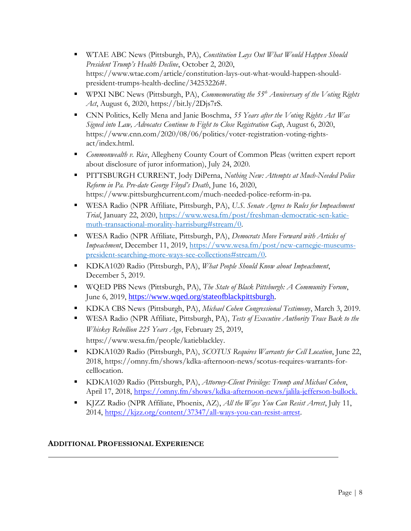- WTAE ABC News (Pittsburgh, PA), *Constitution Lays Out What Would Happen Should President Trump's Health Decline*, October 2, 2020, https://www.wtae.com/article/constitution-lays-out-what-would-happen-shouldpresident-trumps-health-decline/34253226#.
- WPXI NBC News (Pittsburgh, PA), *Commemorating the 55<sup>th</sup> Anniversary of the Voting Rights Act*, August 6, 2020, https://bit.ly/2Djs7rS.
- CNN Politics, Kelly Mena and Janie Boschma, 55 Years after the Voting Rights Act Was *Signed into Law, Advocates Continue to Fight to Close Registration Gap*, August 6, 2020, https://www.cnn.com/2020/08/06/politics/voter-registration-voting-rightsact/index.html.
- *Commonwealth v. Rice*, Allegheny County Court of Common Pleas (written expert report about disclosure of juror information), July 24, 2020.
- PITTSBURGH CURRENT, Jody DiPerna, *Nothing New: Attempts at Much-Needed Police Reform in Pa. Pre-date George Floyd's Death*, June 16, 2020, https://www.pittsburghcurrent.com/much-needed-police-reform-in-pa.
- WESA Radio (NPR Affiliate, Pittsburgh, PA), *U.S. Senate Agrees to Rules for Impeachment Trial*, January 22, 2020, [https://www.wesa.fm/post/freshman-democratic-sen-katie](https://www.wesa.fm/post/freshman-democratic-sen-katie-muth-transactional-morality-harrisburg#stream/0)[muth-transactional-morality-harrisburg#stream/0.](https://www.wesa.fm/post/freshman-democratic-sen-katie-muth-transactional-morality-harrisburg#stream/0)
- WESA Radio (NPR Affiliate, Pittsburgh, PA), *Democrats Move Forward with Articles of Impeachment*, December 11, 2019, [https://www.wesa.fm/post/new-carnegie-museums](https://www.wesa.fm/post/new-carnegie-museums-president-searching-more-ways-see-collections#stream/0)[president-searching-more-ways-see-collections#stream/0.](https://www.wesa.fm/post/new-carnegie-museums-president-searching-more-ways-see-collections#stream/0)
- KDKA1020 Radio (Pittsburgh, PA), *What People Should Know about Impeachment*, December 5, 2019.
- WQED PBS News (Pittsburgh, PA), *The State of Black Pittsburgh: A Community Forum*, June 6, 2019, [https://www.wqed.org/stateofblackpittsburgh.](https://www.wqed.org/stateofblackpittsburgh)
- KDKA CBS News (Pittsburgh, PA), *Michael Cohen Congressional Testimony*, March 3, 2019.
- WESA Radio (NPR Affiliate, Pittsburgh, PA), *Tests of Executive Authority Trace Back to the Whiskey Rebellion 225 Years Ago*, February 25, 2019, https://www.wesa.fm/people/katieblackley.
- KDKA1020 Radio (Pittsburgh, PA), *SCOTUS Requires Warrants for Cell Location*, June 22, 2018, https://omny.fm/shows/kdka-afternoon-news/scotus-requires-warrants-forcelllocation.
- KDKA1020 Radio (Pittsburgh, PA), *Attorney-Client Privilege: Trump and Michael Cohen*, April 17, 2018, [https://omny.fm/shows/kdka-afternoon-news/jalila-jefferson-bullock.](https://omny.fm/shows/kdka-afternoon-news/jalila-jefferson-bullock)
- KJZZ Radio (NPR Affiliate, Phoenix, AZ), *All the Ways You Can Resist Arrest*, July 11, 2014, [https://kjzz.org/content/37347/all-ways-you-can-resist-arrest.](https://kjzz.org/content/37347/all-ways-you-can-resist-arrest)

# **ADDITIONAL PROFESSIONAL EXPERIENCE**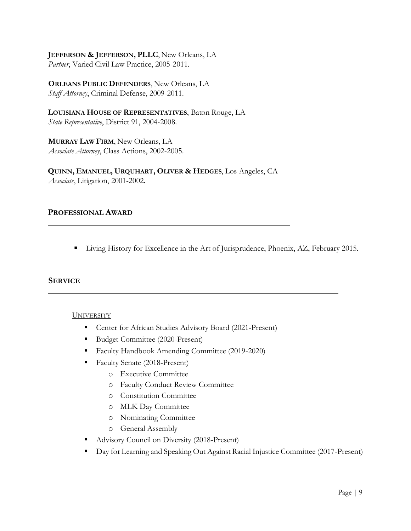**JEFFERSON & JEFFERSON, PLLC**, New Orleans, LA *Partner*, Varied Civil Law Practice, 2005-2011.

**ORLEANS PUBLIC DEFENDERS**, New Orleans, LA *Staff Attorney*, Criminal Defense, 2009-2011.

**LOUISIANA HOUSE OF REPRESENTATIVES**, Baton Rouge, LA *State Representative*, District 91, 2004-2008.

**MURRAY LAW FIRM**, New Orleans, LA *Associate Attorney*, Class Actions, 2002-2005.

**QUINN, EMANUEL, URQUHART, OLIVER & HEDGES**, Los Angeles, CA *Associate*, Litigation, 2001-2002.

# **PROFESSIONAL AWARD**

**Example 1** Living History for Excellence in the Art of Jurisprudence, Phoenix, AZ, February 2015.

### **SERVICE**

### UNIVERSITY

- Center for African Studies Advisory Board (2021-Present)
- Budget Committee (2020-Present)
- Faculty Handbook Amending Committee (2019-2020)
- Faculty Senate (2018-Present)
	- o Executive Committee
	- o Faculty Conduct Review Committee
	- o Constitution Committee
	- o MLK Day Committee
	- o Nominating Committee
	- o General Assembly
- Advisory Council on Diversity (2018-Present)
- Day for Learning and Speaking Out Against Racial Injustice Committee (2017-Present)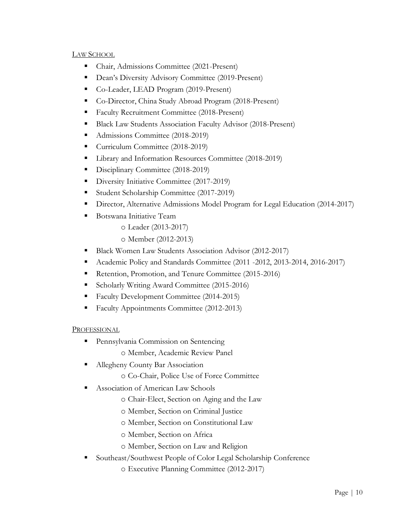# LAW SCHOOL

- Chair, Admissions Committee (2021-Present)
- Dean's Diversity Advisory Committee (2019-Present)
- Co-Leader, LEAD Program (2019-Present)
- Co-Director, China Study Abroad Program (2018-Present)
- Faculty Recruitment Committee (2018-Present)
- **Black Law Students Association Faculty Advisor (2018-Present)**
- Admissions Committee (2018-2019)
- Curriculum Committee (2018-2019)
- Library and Information Resources Committee (2018-2019)
- Disciplinary Committee (2018-2019)
- Diversity Initiative Committee (2017-2019)
- Student Scholarship Committee (2017-2019)
- **•** Director, Alternative Admissions Model Program for Legal Education (2014-2017)
- Botswana Initiative Team
	- o Leader (2013-2017)
	- o Member (2012-2013)
- **Black Women Law Students Association Advisor (2012-2017)**
- Academic Policy and Standards Committee (2011 -2012, 2013-2014, 2016-2017)
- Retention, Promotion, and Tenure Committee (2015-2016)
- Scholarly Writing Award Committee (2015-2016)
- Faculty Development Committee (2014-2015)
- Faculty Appointments Committee (2012-2013)

# **PROFESSIONAL**

- **Pennsylvania Commission on Sentencing** 
	- o Member, Academic Review Panel
- **EXECUTE:** Allegheny County Bar Association
	- o Co-Chair, Police Use of Force Committee
- Association of American Law Schools
	- o Chair-Elect, Section on Aging and the Law
	- o Member, Section on Criminal Justice
	- o Member, Section on Constitutional Law
	- o Member, Section on Africa
	- o Member, Section on Law and Religion
- Southeast/Southwest People of Color Legal Scholarship Conference
	- o Executive Planning Committee (2012-2017)